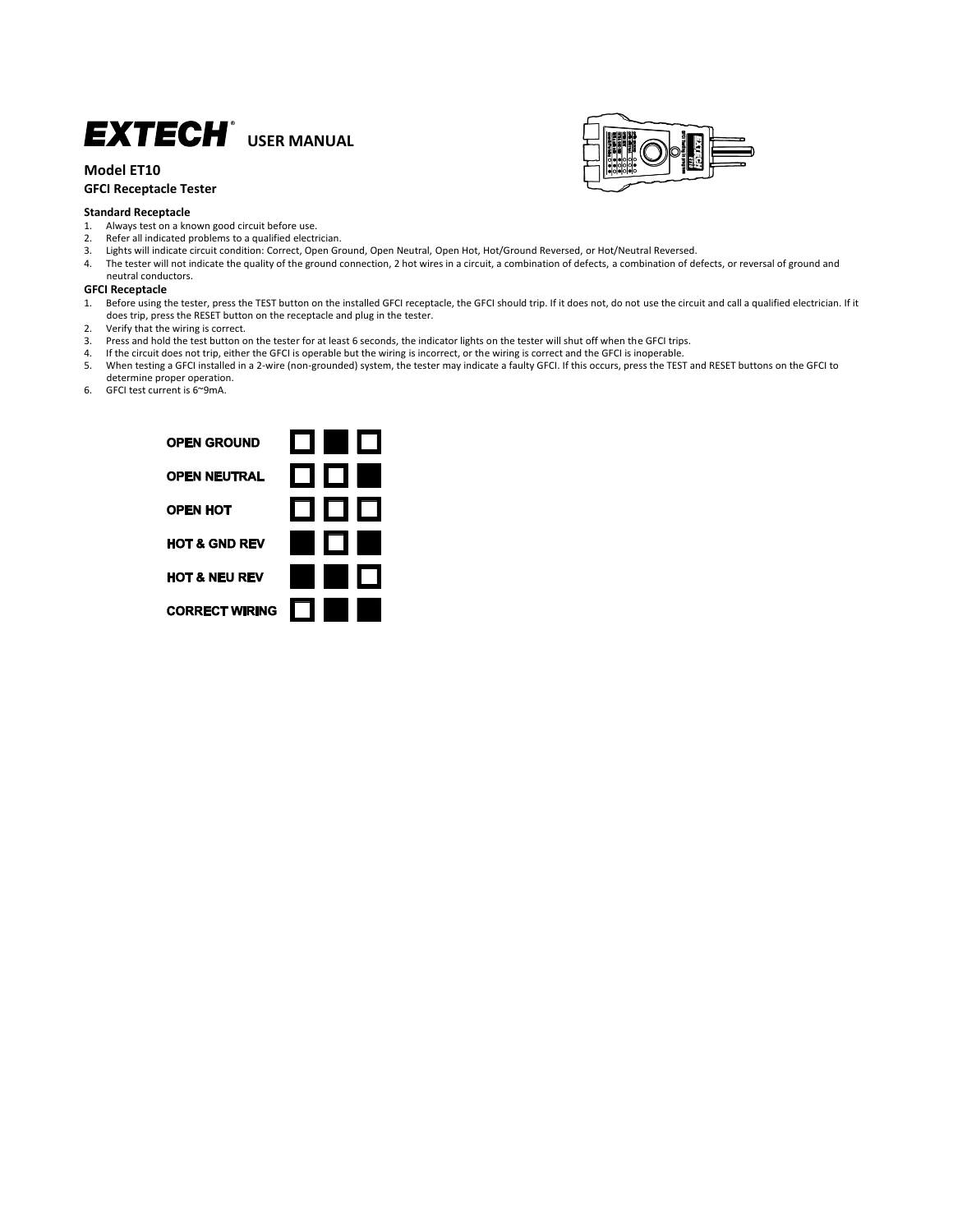# **EXTECH**<sup>t</sup> USER MANUAL

## **Model ET10 GFCI Receptacle Tester**





- 1. Always test on a known good circuit before use.<br>2. Refer all indicated problems to a qualified electr
- 2. Refer all indicated problems to a qualified electrician.<br>3. Lights will indicate circuit condition: Correct, Open Gr
- 3. Lights will indicate circuit condition: Correct, Open Ground, Open Neutral, Open Hot, Hot/Ground Reversed, or Hot/Neutral Reversed.
- 4. The tester will not indicate the quality of the ground connection, 2 hot wires in a circuit, a combination of defects, a combination of defects, or reversal of ground and neutral conductors.

#### **GFCI Receptacle**

- 1. Before using the tester, press the TEST button on the installed GFCI receptacle, the GFCI should trip. If it does not, do not use the circuit and call a qualified electrician. If it does trip, press the RESET button on the receptacle and plug in the tester.
- 2. Verify that the wiring is correct.<br>3. Press and hold the test button of
- 3. Press and hold the test button on the tester for at least 6 seconds, the indicator lights on the tester will shut off when the GFCI trips.<br>4. If the circuit does not trip, either the GFCI is operable but the wiring is i
- 4. If the circuit does not trip, either the GFCI is operable but the wiring is incorrect, or the wiring is correct and the GFCI is inoperable.<br>5. When testing a GFCI installed in a 2-wire (non-grounded) system, the tester
- 5. When testing a GFCI installed in a 2-wire (non-grounded) system, the tester may indicate a faulty GFCI. If this occurs, press the TEST and RESET buttons on the GFCI to determine proper operation.
- 6. GFCI test current is 6~9mA.

| <b>OPEN GROUND</b>       | m n                       |                |
|--------------------------|---------------------------|----------------|
| <b>OPEN NEUTRAL</b>      | 00                        | $\blacksquare$ |
| <b>OPEN HOT</b>          | 0 0 0                     |                |
| <b>HOT &amp; GND REV</b> | $\mathsf{I} \mathsf{\Pi}$ | Œ              |
| <b>HOT &amp; NEU REV</b> | <b>Ly</b>                 |                |
| <b>CORRECT WIRING</b>    | ٠                         |                |